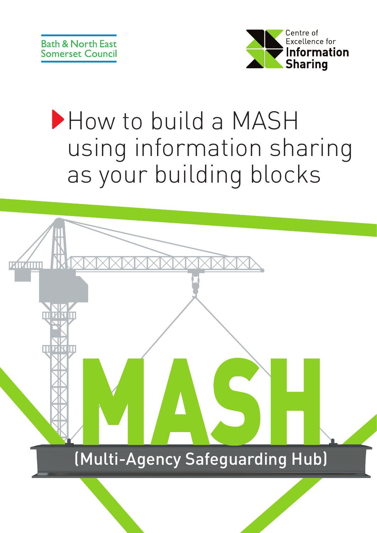

# How to build a MASH using information sharing as your building blocks

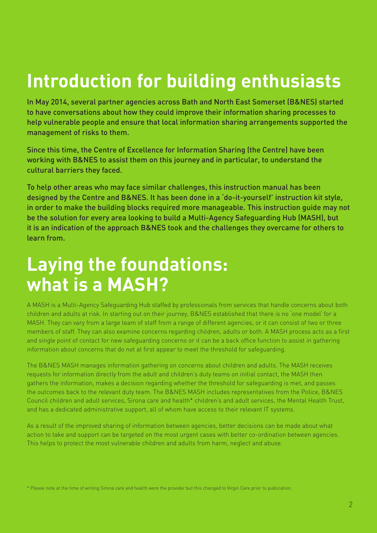# **Introduction for building enthusiasts**

In May 2014, several partner agencies across Bath and North East Somerset (B&NES) started to have conversations about how they could improve their information sharing processes to help vulnerable people and ensure that local information sharing arrangements supported the management of risks to them.

Since this time, the Centre of Excellence for Information Sharing (the Centre) have been working with B&NES to assist them on this journey and in particular, to understand the cultural barriers they faced.

To help other areas who may face similar challenges, this instruction manual has been designed by the Centre and B&NES. It has been done in a 'do-it-yourself' instruction kit style, in order to make the building blocks required more manageable. This instruction guide may not be the solution for every area looking to build a Multi-Agency Safeguarding Hub (MASH), but it is an indication of the approach B&NES took and the challenges they overcame for others to learn from.

## **Laying the foundations: what is a MASH?**

A MASH is a Multi-Agency Safeguarding Hub staffed by professionals from services that handle concerns about both children and adults at risk. In starting out on their journey, B&NES established that there is no 'one model' for a MASH. They can vary from a large team of staff from a range of different agencies, or it can consist of two or three members of staff. They can also examine concerns regarding children, adults or both. A MASH process acts as a first and single point of contact for new safeguarding concerns or it can be a back office function to assist in gathering information about concerns that do not at first appear to meet the threshold for safeguarding.

The B&NES MASH manages information gathering on concerns about children and adults. The MASH receives requests for information directly from the adult and children's duty teams on initial contact, the MASH then gathers the information, makes a decision regarding whether the threshold for safeguarding is met, and passes the outcomes back to the relevant duty team. The B&NES MASH includes representatives from the Police, B&NES Council children and adult services, Sirona care and health\* children's and adult services, the Mental Health Trust, and has a dedicated administrative support, all of whom have access to their relevant IT systems.

As a result of the improved sharing of information between agencies, better decisions can be made about what action to take and support can be targeted on the most urgent cases with better co-ordination between agencies. This helps to protect the most vulnerable children and adults from harm, neglect and abuse.

\* Please note at the time of writing Sirona care and health were the provider but this changed to Virgin Care prior to publication.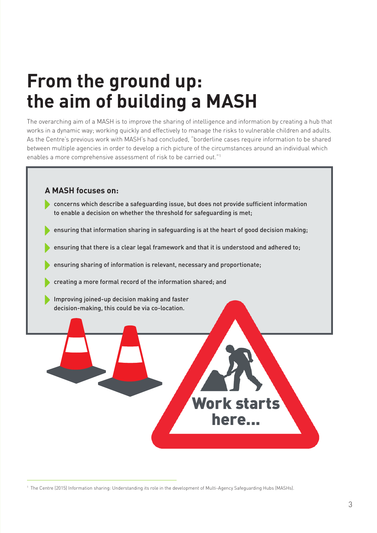## **From the ground up: the aim of building a MASH**

The overarching aim of a MASH is to improve the sharing of intelligence and information by creating a hub that works in a dynamic way; working quickly and effectively to manage the risks to vulnerable children and adults. As the Centre's previous work with MASH's had concluded, "borderline cases require information to be shared between multiple agencies in order to develop a rich picture of the circumstances around an individual which enables a more comprehensive assessment of risk to be carried out."1

#### **A MASH focuses on:**

- concerns which describe a safeguarding issue, but does not provide sufficient information to enable a decision on whether the threshold for safeguarding is met;
- ensuring that information sharing in safeguarding is at the heart of good decision making;
- ensuring that there is a clear legal framework and that it is understood and adhered to;
- ensuring sharing of information is relevant, necessary and proportionate;
- creating a more formal record of the information shared; and
- Improving joined-up decision making and faster decision-making, this could be via co-location.



<sup>1</sup> The Centre (2015) Information sharing: Understanding its role in the development of Multi-Agency Safeguarding Hubs (MASHs).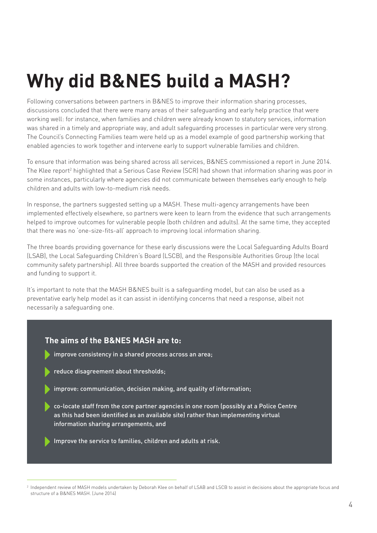# **Why did B&NES build a MASH?**

Following conversations between partners in B&NES to improve their information sharing processes, discussions concluded that there were many areas of their safeguarding and early help practice that were working well: for instance, when families and children were already known to statutory services, information was shared in a timely and appropriate way, and adult safeguarding processes in particular were very strong. The Council's Connecting Families team were held up as a model example of good partnership working that enabled agencies to work together and intervene early to support vulnerable families and children.

To ensure that information was being shared across all services, B&NES commissioned a report in June 2014. The Klee report<sup>2</sup> highlighted that a Serious Case Review (SCR) had shown that information sharing was poor in some instances, particularly where agencies did not communicate between themselves early enough to help children and adults with low-to-medium risk needs.

In response, the partners suggested setting up a MASH. These multi-agency arrangements have been implemented effectively elsewhere, so partners were keen to learn from the evidence that such arrangements helped to improve outcomes for vulnerable people (both children and adults). At the same time, they accepted that there was no 'one-size-fits-all' approach to improving local information sharing.

The three boards providing governance for these early discussions were the Local Safeguarding Adults Board (LSAB), the Local Safeguarding Children's Board (LSCB), and the Responsible Authorities Group (the local community safety partnership). All three boards supported the creation of the MASH and provided resources and funding to support it.

It's important to note that the MASH B&NES built is a safeguarding model, but can also be used as a preventative early help model as it can assist in identifying concerns that need a response, albeit not necessarily a safeguarding one.

#### **The aims of the B&NES MASH are to:**

- improve consistency in a shared process across an area;
- reduce disagreement about thresholds;
- improve: communication, decision making, and quality of information;
- co-locate staff from the core partner agencies in one room (possibly at a Police Centre as this had been identified as an available site) rather than implementing virtual information sharing arrangements, and
- Improve the service to families, children and adults at risk.

<sup>&</sup>lt;sup>2</sup> Independent review of MASH models undertaken by Deborah Klee on behalf of LSAB and LSCB to assist in decisions about the appropriate focus and structure of a B&NES MASH. (June 2014)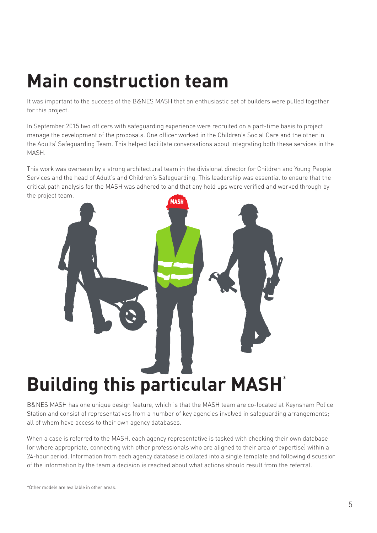# **Main construction team**

It was important to the success of the B&NES MASH that an enthusiastic set of builders were pulled together for this project.

In September 2015 two officers with safeguarding experience were recruited on a part-time basis to project manage the development of the proposals. One officer worked in the Children's Social Care and the other in the Adults' Safeguarding Team. This helped facilitate conversations about integrating both these services in the MASH.

This work was overseen by a strong architectural team in the divisional director for Children and Young People Services and the head of Adult's and Children's Safeguarding. This leadership was essential to ensure that the critical path analysis for the MASH was adhered to and that any hold ups were verified and worked through by the project team.



B&NES MASH has one unique design feature, which is that the MASH team are co-located at Keynsham Police Station and consist of representatives from a number of key agencies involved in safeguarding arrangements; all of whom have access to their own agency databases.

When a case is referred to the MASH, each agency representative is tasked with checking their own database (or where appropriate, connecting with other professionals who are aligned to their area of expertise) within a 24-hour period. Information from each agency database is collated into a single template and following discussion of the information by the team a decision is reached about what actions should result from the referral.

<sup>\*</sup>Other models are available in other areas.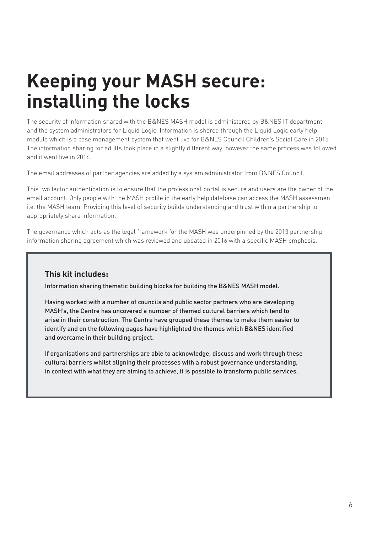# **Keeping your MASH secure: installing the locks**

The security of information shared with the B&NES MASH model is administered by B&NES IT department and the system administrators for Liquid Logic. Information is shared through the Liquid Logic early help module which is a case management system that went live for B&NES Council Children's Social Care in 2015. The information sharing for adults took place in a slightly different way, however the same process was followed and it went live in 2016.

The email addresses of partner agencies are added by a system administrator from B&NES Council.

This two factor authentication is to ensure that the professional portal is secure and users are the owner of the email account. Only people with the MASH profile in the early help database can access the MASH assessment i.e. the MASH team. Providing this level of security builds understanding and trust within a partnership to appropriately share information.

The governance which acts as the legal framework for the MASH was underpinned by the 2013 partnership information sharing agreement which was reviewed and updated in 2016 with a specific MASH emphasis.

#### **This kit includes:**

Information sharing thematic building blocks for building the B&NES MASH model.

Having worked with a number of councils and public sector partners who are developing MASH's, the Centre has uncovered a number of themed cultural barriers which tend to arise in their construction. The Centre have grouped these themes to make them easier to identify and on the following pages have highlighted the themes which B&NES identified and overcame in their building project.

If organisations and partnerships are able to acknowledge, discuss and work through these cultural barriers whilst aligning their processes with a robust governance understanding, in context with what they are aiming to achieve, it is possible to transform public services.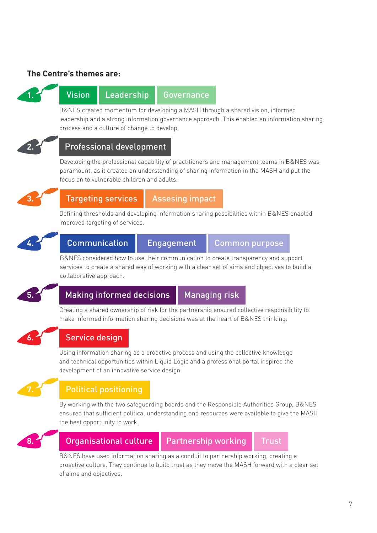#### **The Centre's themes are:**



### **Vision Leadership Governance**

B&NES created momentum for developing a MASH through a shared vision, informed leadership and a strong information governance approach. This enabled an information sharing process and a culture of change to develop.



#### **2.** Professional development

Developing the professional capability of practitioners and management teams in B&NES was paramount, as it created an understanding of sharing information in the MASH and put the focus on to vulnerable children and adults.



### **Targeting services | Assesing impact**

Defining thresholds and developing information sharing possibilities within B&NES enabled improved targeting of services.



## **Communication Engagement Common purpose**

B&NES considered how to use their communication to create transparency and support services to create a shared way of working with a clear set of aims and objectives to build a collaborative approach.



### **Making informed decisions Managing risk**

Creating a shared ownership of risk for the partnership ensured collective responsibility to make informed information sharing decisions was at the heart of B&NES thinking.



### **6.** Service design

Using information sharing as a proactive process and using the collective knowledge and technical opportunities within Liquid Logic and a professional portal inspired the development of an innovative service design.

#### **7.** Political positioning

By working with the two safeguarding boards and the Responsible Authorities Group, B&NES ensured that sufficient political understanding and resources were available to give the MASH the best opportunity to work.



### **8. Organisational culture | Partnership working | Trust**

B&NES have used information sharing as a conduit to partnership working, creating a proactive culture. They continue to build trust as they move the MASH forward with a clear set of aims and objectives.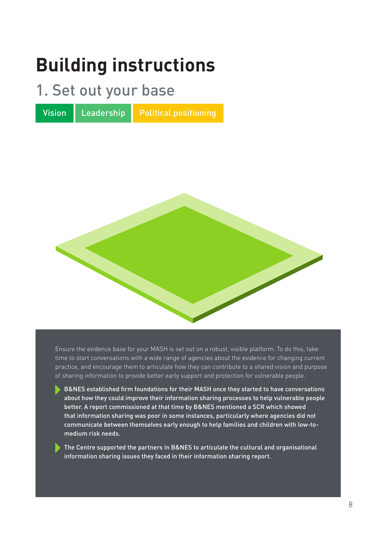## **Building instructions**

### 1. Set out your base

Vision Leadership Political positioning



Ensure the evidence base for your MASH is set out on a robust, visible platform. To do this, take time to start conversations with a wide range of agencies about the evidence for changing current practice, and encourage them to articulate how they can contribute to a shared vision and purpose of sharing information to provide better early support and protection for vulnerable people.

 B&NES established firm foundations for their MASH once they started to have conversations about how they could improve their information sharing processes to help vulnerable people better. A report commissioned at that time by B&NES mentioned a SCR which showed that information sharing was poor in some instances, particularly where agencies did not communicate between themselves early enough to help families and children with low-tomedium risk needs.

The Centre supported the partners in B&NES to articulate the cultural and organisational information sharing issues they faced in their information sharing report.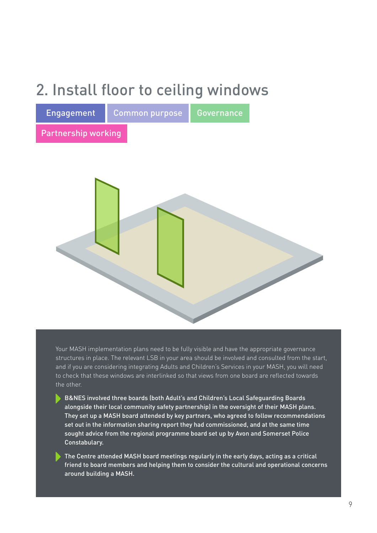## 2. Install floor to ceiling windows

| Engagement          | <b>Common purpose</b> | Governance |  |
|---------------------|-----------------------|------------|--|
| Partnership working |                       |            |  |
|                     |                       |            |  |

Your MASH implementation plans need to be fully visible and have the appropriate governance structures in place. The relevant LSB in your area should be involved and consulted from the start, and if you are considering integrating Adults and Children's Services in your MASH, you will need to check that these windows are interlinked so that views from one board are reflected towards the other.

- B&NES involved three boards (both Adult's and Children's Local Safeguarding Boards alongside their local community safety partnership) in the oversight of their MASH plans. They set up a MASH board attended by key partners, who agreed to follow recommendations set out in the information sharing report they had commissioned, and at the same time sought advice from the regional programme board set up by Avon and Somerset Police Constabulary.
- The Centre attended MASH board meetings regularly in the early days, acting as a critical friend to board members and helping them to consider the cultural and operational concerns around building a MASH.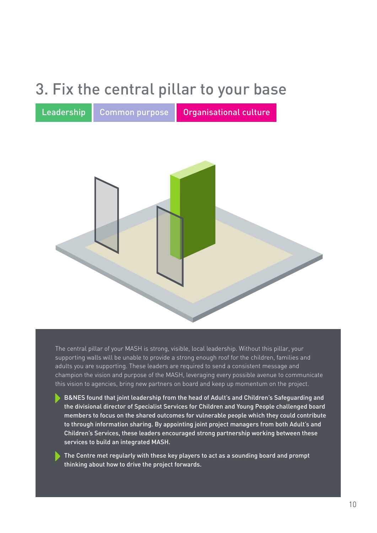## 3. Fix the central pillar to your base

Leadership Common purpose Organisational culture



The central pillar of your MASH is strong, visible, local leadership. Without this pillar, your supporting walls will be unable to provide a strong enough roof for the children, families and adults you are supporting. These leaders are required to send a consistent message and champion the vision and purpose of the MASH, leveraging every possible avenue to communicate this vision to agencies, bring new partners on board and keep up momentum on the project.

- B&NES found that joint leadership from the head of Adult's and Children's Safeguarding and the divisional director of Specialist Services for Children and Young People challenged board members to focus on the shared outcomes for vulnerable people which they could contribute to through information sharing. By appointing joint project managers from both Adult's and Children's Services, these leaders encouraged strong partnership working between these services to build an integrated MASH.
- The Centre met regularly with these key players to act as a sounding board and prompt thinking about how to drive the project forwards.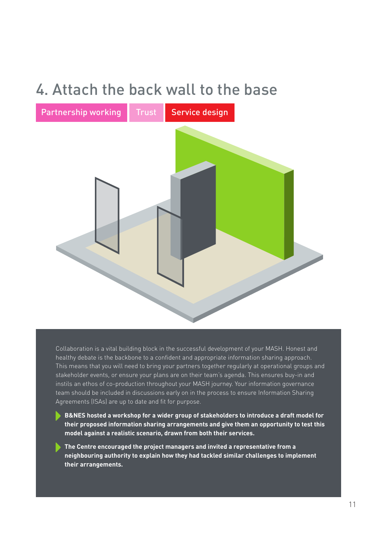## 4. Attach the back wall to the base



Collaboration is a vital building block in the successful development of your MASH. Honest and healthy debate is the backbone to a confident and appropriate information sharing approach. This means that you will need to bring your partners together regularly at operational groups and stakeholder events, or ensure your plans are on their team's agenda. This ensures buy-in and instils an ethos of co-production throughout your MASH journey. Your information governance team should be included in discussions early on in the process to ensure Information Sharing Agreements (ISAs) are up to date and fit for purpose.

- **B&NES hosted a workshop for a wider group of stakeholders to introduce a draft model for their proposed information sharing arrangements and give them an opportunity to test this model against a realistic scenario, drawn from both their services.**
- **The Centre encouraged the project managers and invited a representative from a neighbouring authority to explain how they had tackled similar challenges to implement their arrangements.**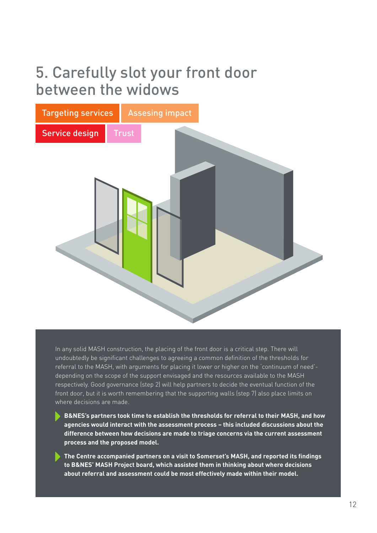### 5. Carefully slot your front door between the widows



In any solid MASH construction, the placing of the front door is a critical step. There will undoubtedly be significant challenges to agreeing a common definition of the thresholds for referral to the MASH, with arguments for placing it lower or higher on the 'continuum of need' depending on the scope of the support envisaged and the resources available to the MASH respectively. Good governance (step 2) will help partners to decide the eventual function of the front door, but it is worth remembering that the supporting walls (step 7) also place limits on where decisions are made.

- **B&NES's partners took time to establish the thresholds for referral to their MASH, and how agencies would interact with the assessment process – this included discussions about the difference between how decisions are made to triage concerns via the current assessment process and the proposed model.**
- **The Centre accompanied partners on a visit to Somerset's MASH, and reported its findings to B&NES' MASH Project board, which assisted them in thinking about where decisions about referral and assessment could be most effectively made within their model.**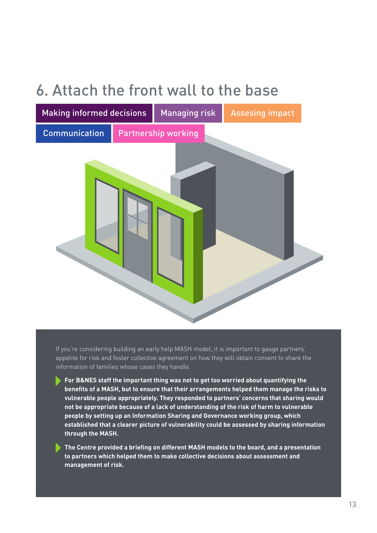## 6. Attach the front wall to the base



If you're considering building an early help MASH model, it is important to gauge partners' appetite for risk and foster collective agreement on how they will obtain consent to share the information of families whose cases they handle.

**For B&NES staff the important thing was not to get too worried about quantifying the benefits of a MASH, but to ensure that their arrangements helped them manage the risks to vulnerable people appropriately. They responded to partners' concerns that sharing would not be appropriate because of a lack of understanding of the risk of harm to vulnerable people by setting up an Information Sharing and Governance working group, which established that a clearer picture of vulnerability could be assessed by sharing information through the MASH.**

 **The Centre provided a briefing on different MASH models to the board, and a presentation to partners which helped them to make collective decisions about assessment and management of risk.**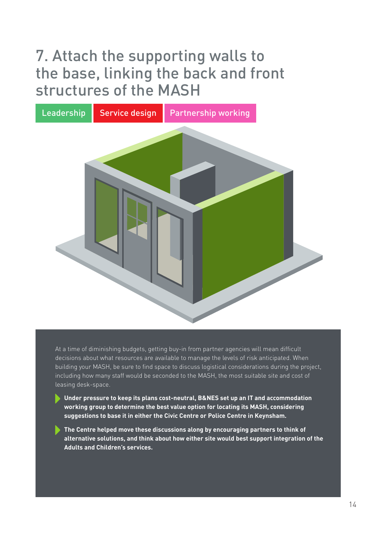## 7. Attach the supporting walls to the base, linking the back and front structures of the MASH



At a time of diminishing budgets, getting buy-in from partner agencies will mean difficult decisions about what resources are available to manage the levels of risk anticipated. When building your MASH, be sure to find space to discuss logistical considerations during the project, including how many staff would be seconded to the MASH, the most suitable site and cost of leasing desk-space.

- **Under pressure to keep its plans cost-neutral, B&NES set up an IT and accommodation working group to determine the best value option for locating its MASH, considering suggestions to base it in either the Civic Centre or Police Centre in Keynsham.**
- **The Centre helped move these discussions along by encouraging partners to think of alternative solutions, and think about how either site would best support integration of the Adults and Children's services.**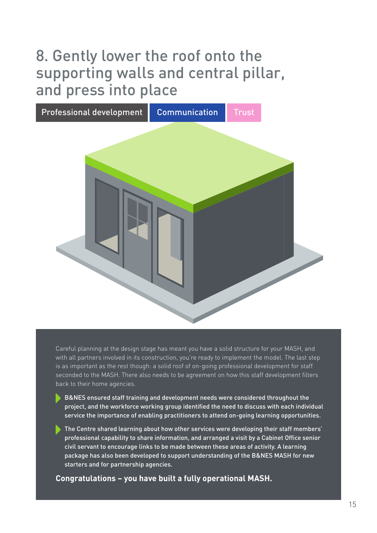## 8. Gently lower the roof onto the supporting walls and central pillar, and press into place



Careful planning at the design stage has meant you have a solid structure for your MASH, and with all partners involved in its construction, you're ready to implement the model. The last step is as important as the rest though: a solid roof of on-going professional development for staff seconded to the MASH. There also needs to be agreement on how this staff development filters back to their home agencies.

- B&NES ensured staff training and development needs were considered throughout the project, and the workforce working group identified the need to discuss with each individual service the importance of enabling practitioners to attend on-going learning opportunities.
- The Centre shared learning about how other services were developing their staff members' professional capability to share information, and arranged a visit by a Cabinet Office senior civil servant to encourage links to be made between these areas of activity. A learning package has also been developed to support understanding of the B&NES MASH for new starters and for partnership agencies.

**Congratulations – you have built a fully operational MASH.**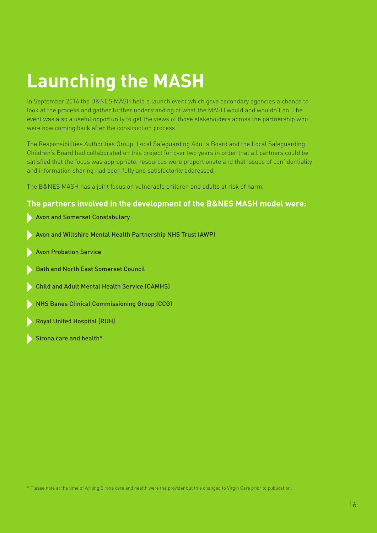# **Launching the MASH**

In September 2016 the B&NES MASH held a launch event which gave secondary agencies a chance to look at the process and gather further understanding of what the MASH would and wouldn't do. The event was also a useful opportunity to get the views of those stakeholders across the partnership who were now coming back after the construction process.

The Responsibilities Authorities Group, Local Safeguarding Adults Board and the Local Safeguarding Children's Board had collaborated on this project for over two years in order that all partners could be satisfied that the focus was appropriate, resources were proportionate and that issues of confidentiality and information sharing had been fully and satisfactorily addressed.

The B&NES MASH has a joint focus on vulnerable children and adults at risk of harm.

#### **The partners involved in the development of the B&NES MASH model were:**

- Avon and Somerset Constabulary
- Avon and Wiltshire Mental Health Partnership NHS Trust (AWP)
- Avon Probation Service
- Bath and North East Somerset Council
- Child and Adult Mental Health Service (CAMHS)
- NHS Banes Clinical Commissioning Group (CCG)
- Royal United Hospital (RUH)
- Sirona care and health\*

\* Please note at the time of writing Sirona care and health were the provider but this changed to Virgin Care prior to publication.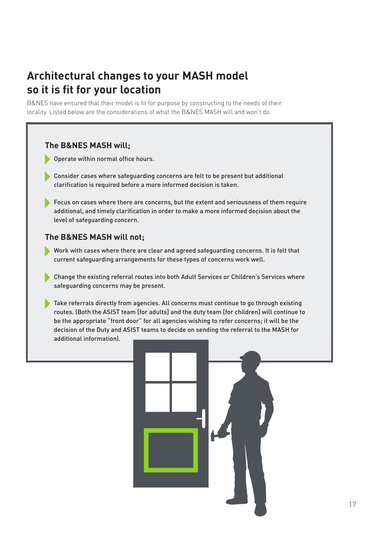### **Architectural changes to your MASH model so it is fit for your location**

B&NES have ensured that their model is fit for purpose by constructing to the needs of their locality. Listed below are the considerations of what the B&NES MASH will and won't do.

#### **The B&NES MASH will;**

- Operate within normal office hours.
- Consider cases where safeguarding concerns are felt to be present but additional clarification is required before a more informed decision is taken.
- Focus on cases where there are concerns, but the extent and seriousness of them require additional, and timely clarification in order to make a more informed decision about the level of safeguarding concern.

#### **The B&NES MASH will not;**

- Work with cases where there are clear and agreed safeguarding concerns. It is felt that current safeguarding arrangements for these types of concerns work well.
- Change the existing referral routes into both Adult Services or Children's Services where safeguarding concerns may be present.
- Take referrals directly from agencies. All concerns must continue to go through existing routes. (Both the ASIST team [for adults] and the duty team [for children] will continue to be the appropriate "front door" for all agencies wishing to refer concerns; it will be the decision of the Duty and ASIST teams to decide on sending the referral to the MASH for additional information).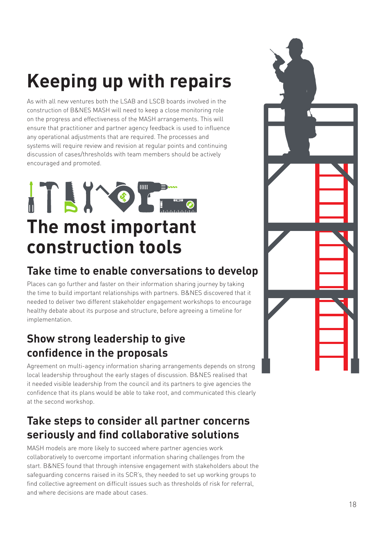# **Keeping up with repairs**

As with all new ventures both the LSAB and LSCB boards involved in the construction of B&NES MASH will need to keep a close monitoring role on the progress and effectiveness of the MASH arrangements. This will ensure that practitioner and partner agency feedback is used to influence any operational adjustments that are required. The processes and systems will require review and revision at regular points and continuing discussion of cases/thresholds with team members should be actively encouraged and promoted.

# ITING THE **The most important construction tools**

### **Take time to enable conversations to develop**

Places can go further and faster on their information sharing journey by taking the time to build important relationships with partners. B&NES discovered that it needed to deliver two different stakeholder engagement workshops to encourage healthy debate about its purpose and structure, before agreeing a timeline for implementation.

### **Show strong leadership to give confidence in the proposals**

Agreement on multi-agency information sharing arrangements depends on strong local leadership throughout the early stages of discussion. B&NES realised that it needed visible leadership from the council and its partners to give agencies the confidence that its plans would be able to take root, and communicated this clearly at the second workshop.

### **Take steps to consider all partner concerns seriously and find collaborative solutions**

MASH models are more likely to succeed where partner agencies work collaboratively to overcome important information sharing challenges from the start. B&NES found that through intensive engagement with stakeholders about the safeguarding concerns raised in its SCR's, they needed to set up working groups to find collective agreement on difficult issues such as thresholds of risk for referral, and where decisions are made about cases.

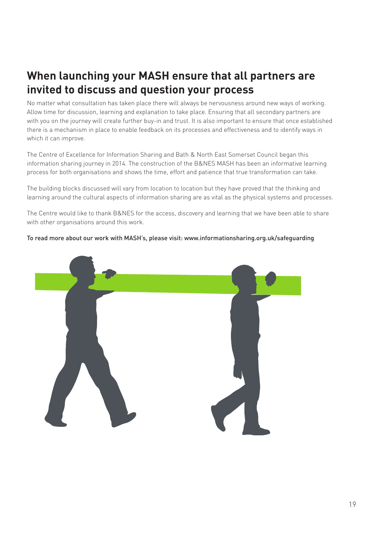### **When launching your MASH ensure that all partners are invited to discuss and question your process**

No matter what consultation has taken place there will always be nervousness around new ways of working. Allow time for discussion, learning and explanation to take place. Ensuring that all secondary partners are with you on the journey will create further buy-in and trust. It is also important to ensure that once established there is a mechanism in place to enable feedback on its processes and effectiveness and to identify ways in which it can improve.

The Centre of Excellence for Information Sharing and Bath & North East Somerset Council began this information sharing journey in 2014. The construction of the B&NES MASH has been an informative learning process for both organisations and shows the time, effort and patience that true transformation can take.

The building blocks discussed will vary from location to location but they have proved that the thinking and learning around the cultural aspects of information sharing are as vital as the physical systems and processes.

The Centre would like to thank B&NES for the access, discovery and learning that we have been able to share with other organisations around this work.

#### To read more about our work with MASH's, please visit: www.informationsharing.org.uk/safeguarding